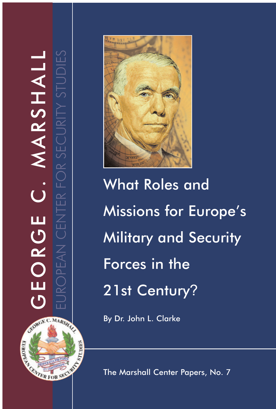GEORGE C. MARSHALL GEORGE C. MARSHALL EUROPEAN CENTER FOR SECURITY STUDIES

CROWING COMPROSTING

**CALL AND STREET** 



What Roles and Missions for Europe's Military and Security Forces in the 21st Century ?

By Dr. John L. Clarke

The Marshall Center Papers, No. 7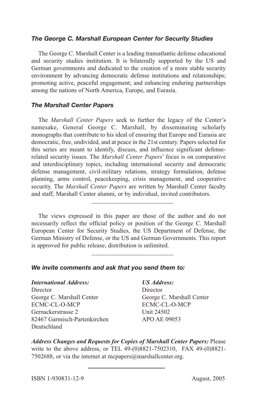#### *The George C. Marshall European Center for Security Studies*

The George C. Marshall Center is a leading transatlantic defense educational and security studies institution. It is bilaterally supported by the US and German governments and dedicated to the creation of a more stable security environment by advancing democratic defense institutions and relationships; promoting active, peaceful engagement; and enhancing enduring partnerships among the nations of North America, Europe, and Eurasia.

#### *The Marshall Center Papers*

The *Marshall Center Papers* seek to further the legacy of the Center's namesake, General George C. Marshall, by disseminating scholarly monographs that contribute to his ideal of ensuring that Europe and Eurasia are democratic, free, undivided, and at peace in the 21st century. Papers selected for this series are meant to identify, discuss, and influence significant defenserelated security issues. The *Marshall Center Papers*' focus is on comparative and interdisciplinary topics, including international security and democratic defense management, civil-military relations, strategy formulation, defense planning, arms control, peacekeeping, crisis management, and cooperative security. The *Marshall Center Papers* are written by Marshall Center faculty and staff, Marshall Center alumni, or by individual, invited contributors.

The views expressed in this paper are those of the author and do not necessarily reflect the official policy or position of the George C. Marshall European Center for Security Studies, the US Department of Defense, the German Ministry of Defense, or the US and German Governments. This report is approved for public release; distribution is unlimited.

#### *We invite comments and ask that you send them to:*

#### *International Address: US Address:*

Director Director George C. Marshall Center George C. Marshall Center ECMC-CL-O-MCP ECMC-CL-O-MCP Gernackerstrasse 2 Unit 24502 82467 Garmisch-Partenkirchen APO AE 09053 Deutschland

*Address Changes and Requests for Copies of Marshall Center Papers:* Please write to the above address, or TEL 49-(0)8821-7502310, FAX 49-(0)8821- 7502688, or via the internet at mcpapers@marshallcenter.org.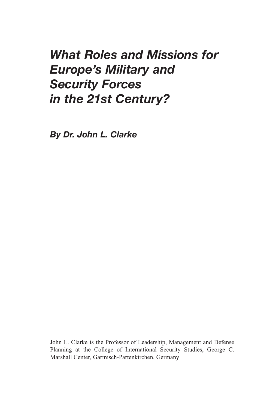# *What Roles and Missions for Europe's Military and Security Forces in the 21st Century?*

*By Dr. John L. Clarke*

John L. Clarke is the Professor of Leadership, Management and Defense Planning at the College of International Security Studies, George C. Marshall Center, Garmisch-Partenkirchen, Germany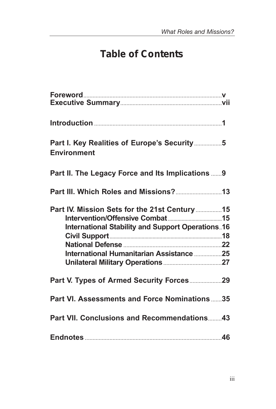# *Table of Contents*

| Part I. Key Realities of Europe's Security5<br><b>Environment</b> |  |
|-------------------------------------------------------------------|--|
| Part II. The Legacy Force and Its Implications  9                 |  |
|                                                                   |  |
| Part IV. Mission Sets for the 21st Century15                      |  |
|                                                                   |  |
| <b>International Stability and Support Operations. 16</b>         |  |
|                                                                   |  |
|                                                                   |  |
| International Humanitarian Assistance 25                          |  |
|                                                                   |  |
| Part V. Types of Armed Security Forces29                          |  |
| Part VI. Assessments and Force Nominations35                      |  |
| <b>Part VII. Conclusions and Recommendations43</b>                |  |
|                                                                   |  |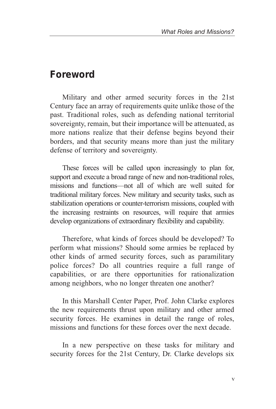### *Foreword*

Military and other armed security forces in the 21st Century face an array of requirements quite unlike those of the past. Traditional roles, such as defending national territorial sovereignty, remain, but their importance will be attenuated, as more nations realize that their defense begins beyond their borders, and that security means more than just the military defense of territory and sovereignty.

These forces will be called upon increasingly to plan for, support and execute a broad range of new and non-traditional roles, missions and functions—not all of which are well suited for traditional military forces. New military and security tasks, such as stabilization operations or counter-terrorism missions, coupled with the increasing restraints on resources, will require that armies develop organizations of extraordinary flexibility and capability.

Therefore, what kinds of forces should be developed? To perform what missions? Should some armies be replaced by other kinds of armed security forces, such as paramilitary police forces? Do all countries require a full range of capabilities, or are there opportunities for rationalization among neighbors, who no longer threaten one another?

In this Marshall Center Paper, Prof. John Clarke explores the new requirements thrust upon military and other armed security forces. He examines in detail the range of roles, missions and functions for these forces over the next decade.

In a new perspective on these tasks for military and security forces for the 21st Century, Dr. Clarke develops six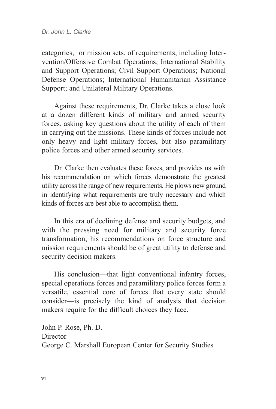categories, or mission sets, of requirements, including Intervention/Offensive Combat Operations; International Stability and Support Operations; Civil Support Operations; National Defense Operations; International Humanitarian Assistance Support; and Unilateral Military Operations.

Against these requirements, Dr. Clarke takes a close look at a dozen different kinds of military and armed security forces, asking key questions about the utility of each of them in carrying out the missions. These kinds of forces include not only heavy and light military forces, but also paramilitary police forces and other armed security services.

Dr. Clarke then evaluates these forces, and provides us with his recommendation on which forces demonstrate the greatest utility across the range of new requirements. He plows new ground in identifying what requirements are truly necessary and which kinds of forces are best able to accomplish them.

In this era of declining defense and security budgets, and with the pressing need for military and security force transformation, his recommendations on force structure and mission requirements should be of great utility to defense and security decision makers.

His conclusion—that light conventional infantry forces, special operations forces and paramilitary police forces form a versatile, essential core of forces that every state should consider—is precisely the kind of analysis that decision makers require for the difficult choices they face.

John P. Rose, Ph. D. **Director** George C. Marshall European Center for Security Studies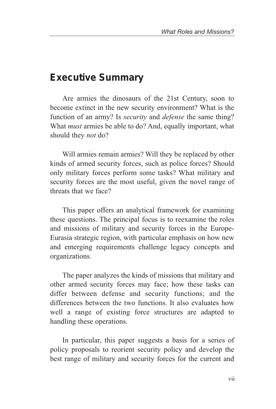### *Executive Summary*

Are armies the dinosaurs of the 21st Century, soon to become extinct in the new security environment? What is the function of an army? Is *security* and *defense* the same thing? What *must* armies be able to do? And, equally important, what should they *not* do?

Will armies remain armies? Will they be replaced by other kinds of armed security forces, such as police forces? Should only military forces perform some tasks? What military and security forces are the most useful, given the novel range of threats that we face?

This paper offers an analytical framework for examining these questions. The principal focus is to reexamine the roles and missions of military and security forces in the Europe-Eurasia strategic region, with particular emphasis on how new and emerging requirements challenge legacy concepts and organizations.

The paper analyzes the kinds of missions that military and other armed security forces may face; how these tasks can differ between defense and security functions; and the differences between the two functions. It also evaluates how well a range of existing force structures are adapted to handling these operations.

In particular, this paper suggests a basis for a series of policy proposals to reorient security policy and develop the best range of military and security forces for the current and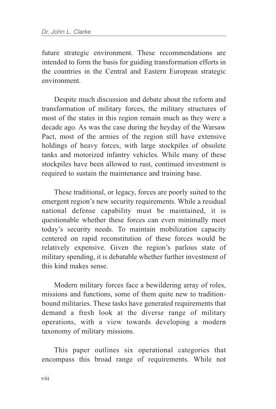future strategic environment. These recommendations are intended to form the basis for guiding transformation efforts in the countries in the Central and Eastern European strategic environment.

Despite much discussion and debate about the reform and transformation of military forces, the military structures of most of the states in this region remain much as they were a decade ago. As was the case during the heyday of the Warsaw Pact, most of the armies of the region still have extensive holdings of heavy forces, with large stockpiles of obsolete tanks and motorized infantry vehicles. While many of these stockpiles have been allowed to rust, continued investment is required to sustain the maintenance and training base.

These traditional, or legacy, forces are poorly suited to the emergent region's new security requirements. While a residual national defense capability must be maintained, it is questionable whether these forces can even minimally meet today's security needs. To maintain mobilization capacity centered on rapid reconstitution of these forces would be relatively expensive. Given the region's parlous state of military spending, it is debatable whether further investment of this kind makes sense.

Modern military forces face a bewildering array of roles, missions and functions, some of them quite new to traditionbound militaries. These tasks have generated requirements that demand a fresh look at the diverse range of military operations, with a view towards developing a modern taxonomy of military missions.

This paper outlines six operational categories that encompass this broad range of requirements. While not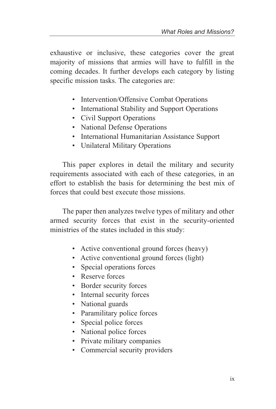exhaustive or inclusive, these categories cover the great majority of missions that armies will have to fulfill in the coming decades. It further develops each category by listing specific mission tasks. The categories are:

- Intervention/Offensive Combat Operations
- International Stability and Support Operations
- Civil Support Operations
- National Defense Operations
- International Humanitarian Assistance Support
- Unilateral Military Operations

This paper explores in detail the military and security requirements associated with each of these categories, in an effort to establish the basis for determining the best mix of forces that could best execute those missions.

The paper then analyzes twelve types of military and other armed security forces that exist in the security-oriented ministries of the states included in this study:

- Active conventional ground forces (heavy)
- Active conventional ground forces (light)
- Special operations forces
- Reserve forces
- Border security forces
- Internal security forces
- National guards
- Paramilitary police forces
- Special police forces
- National police forces
- Private military companies
- Commercial security providers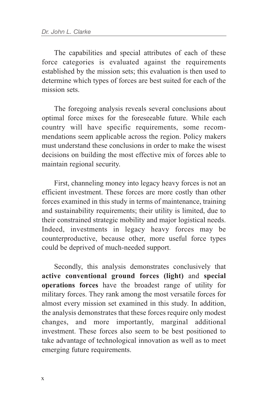The capabilities and special attributes of each of these force categories is evaluated against the requirements established by the mission sets; this evaluation is then used to determine which types of forces are best suited for each of the mission sets.

The foregoing analysis reveals several conclusions about optimal force mixes for the foreseeable future. While each country will have specific requirements, some recommendations seem applicable across the region. Policy makers must understand these conclusions in order to make the wisest decisions on building the most effective mix of forces able to maintain regional security.

First, channeling money into legacy heavy forces is not an efficient investment. These forces are more costly than other forces examined in this study in terms of maintenance, training and sustainability requirements; their utility is limited, due to their constrained strategic mobility and major logistical needs. Indeed, investments in legacy heavy forces may be counterproductive, because other, more useful force types could be deprived of much-needed support.

Secondly, this analysis demonstrates conclusively that **active conventional ground forces (light)** and **special operations forces** have the broadest range of utility for military forces. They rank among the most versatile forces for almost every mission set examined in this study. In addition, the analysis demonstrates that these forces require only modest changes, and more importantly, marginal additional investment. These forces also seem to be best positioned to take advantage of technological innovation as well as to meet emerging future requirements.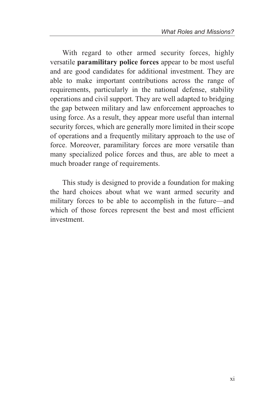With regard to other armed security forces, highly versatile **paramilitary police forces** appear to be most useful and are good candidates for additional investment. They are able to make important contributions across the range of requirements, particularly in the national defense, stability operations and civil support. They are well adapted to bridging the gap between military and law enforcement approaches to using force. As a result, they appear more useful than internal security forces, which are generally more limited in their scope of operations and a frequently military approach to the use of force. Moreover, paramilitary forces are more versatile than many specialized police forces and thus, are able to meet a much broader range of requirements.

This study is designed to provide a foundation for making the hard choices about what we want armed security and military forces to be able to accomplish in the future—and which of those forces represent the best and most efficient investment.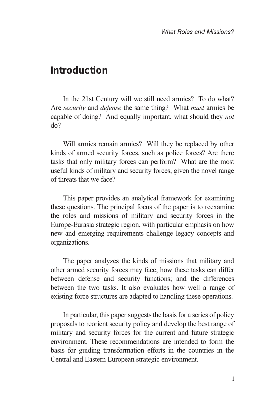### *Introduction*

In the 21st Century will we still need armies? To do what? Are *security* and *defense* the same thing? What *must* armies be capable of doing? And equally important, what should they *not* do?

Will armies remain armies? Will they be replaced by other kinds of armed security forces, such as police forces? Are there tasks that only military forces can perform? What are the most useful kinds of military and security forces, given the novel range of threats that we face?

This paper provides an analytical framework for examining these questions. The principal focus of the paper is to reexamine the roles and missions of military and security forces in the Europe-Eurasia strategic region, with particular emphasis on how new and emerging requirements challenge legacy concepts and organizations.

The paper analyzes the kinds of missions that military and other armed security forces may face; how these tasks can differ between defense and security functions; and the differences between the two tasks. It also evaluates how well a range of existing force structures are adapted to handling these operations.

In particular, this paper suggests the basis for a series of policy proposals to reorient security policy and develop the best range of military and security forces for the current and future strategic environment. These recommendations are intended to form the basis for guiding transformation efforts in the countries in the Central and Eastern European strategic environment.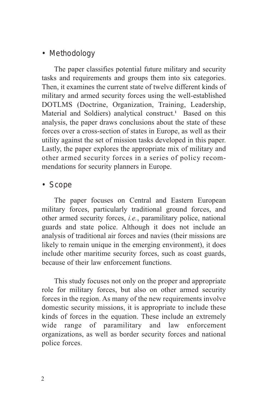#### *• Methodology*

The paper classifies potential future military and security tasks and requirements and groups them into six categories. Then, it examines the current state of twelve different kinds of military and armed security forces using the well-established DOTLMS (Doctrine, Organization, Training, Leadership, Material and Soldiers) analytical construct.<sup>1</sup> Based on this analysis, the paper draws conclusions about the state of these forces over a cross-section of states in Europe, as well as their utility against the set of mission tasks developed in this paper. Lastly, the paper explores the appropriate mix of military and other armed security forces in a series of policy recommendations for security planners in Europe.

#### *• Scope*

The paper focuses on Central and Eastern European military forces, particularly traditional ground forces, and other armed security forces, *i.e.*, paramilitary police, national guards and state police. Although it does not include an analysis of traditional air forces and navies (their missions are likely to remain unique in the emerging environment), it does include other maritime security forces, such as coast guards, because of their law enforcement functions.

This study focuses not only on the proper and appropriate role for military forces, but also on other armed security forces in the region. As many of the new requirements involve domestic security missions, it is appropriate to include these kinds of forces in the equation. These include an extremely wide range of paramilitary and law enforcement organizations, as well as border security forces and national police forces.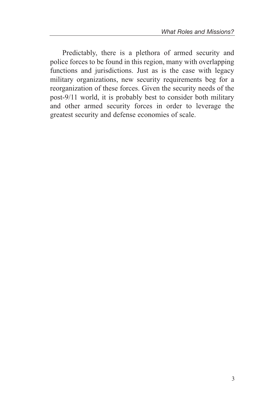Predictably, there is a plethora of armed security and police forces to be found in this region, many with overlapping functions and jurisdictions. Just as is the case with legacy military organizations, new security requirements beg for a reorganization of these forces. Given the security needs of the post-9/11 world, it is probably best to consider both military and other armed security forces in order to leverage the greatest security and defense economies of scale.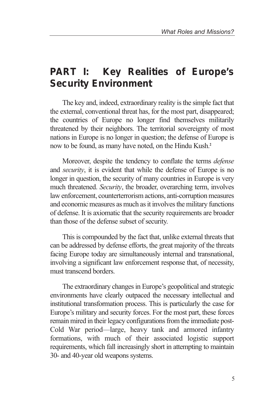## **PART I: Key Realities of Europe's Security Environment**

The key and, indeed, extraordinary reality is the simple fact that the external, conventional threat has, for the most part, disappeared; the countries of Europe no longer find themselves militarily threatened by their neighbors. The territorial sovereignty of most nations in Europe is no longer in question; the defense of Europe is now to be found, as many have noted, on the Hindu Kush.**<sup>2</sup>**

Moreover, despite the tendency to conflate the terms *defense* and *security*, it is evident that while the defense of Europe is no longer in question, the security of many countries in Europe is very much threatened. *Security*, the broader, overarching term, involves law enforcement, counterterrorism actions, anti-corruption measures and economic measures as much as it involves the military functions of defense. It is axiomatic that the security requirements are broader than those of the defense subset of security.

This is compounded by the fact that, unlike external threats that can be addressed by defense efforts, the great majority of the threats facing Europe today are simultaneously internal and transnational, involving a significant law enforcement response that, of necessity, must transcend borders.

The extraordinary changes in Europe's geopolitical and strategic environments have clearly outpaced the necessary intellectual and institutional transformation process. This is particularly the case for Europe's military and security forces. For the most part, these forces remain mired in their legacy configurations from the immediate post-Cold War period—large, heavy tank and armored infantry formations, with much of their associated logistic support requirements, which fall increasingly short in attempting to maintain 30- and 40-year old weapons systems.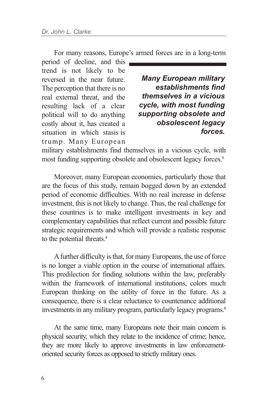For many reasons, Europe's armed forces are in a long-term

period of decline, and this trend is not likely to be reversed in the near future. The perception that there is no real external threat, and the resulting lack of a clear political will to do anything costly about it, has created a situation in which stasis is trump. Many European

*Many European military establishments find themselves in a vicious cycle, with most funding supporting obsolete and obsolescent legacy forces.*

military establishments find themselves in a vicious cycle, with most funding supporting obsolete and obsolescent legacy forces.**<sup>3</sup>**

Moreover, many European economies, particularly those that are the focus of this study, remain bogged down by an extended period of economic difficulties. With no real increase in defense investment, this is not likely to change. Thus, the real challenge for these countries is to make intelligent investments in key and complementary capabilities that reflect current and possible future strategic requirements and which will provide a realistic response to the potential threats.**<sup>4</sup>**

Afurther difficulty is that, for many Europeans, the use of force is no longer a viable option in the course of international affairs. This predilection for finding solutions within the law, preferably within the framework of international institutions, colors much European thinking on the utility of force in the future. As a consequence, there is a clear reluctance to countenance additional investments in any military program, particularly legacy programs.**<sup>5</sup>**

At the same time, many Europeans note their main concern is physical security, which they relate to the incidence of crime; hence, they are more likely to approve investments in law enforcementoriented security forces as opposed to strictly military ones.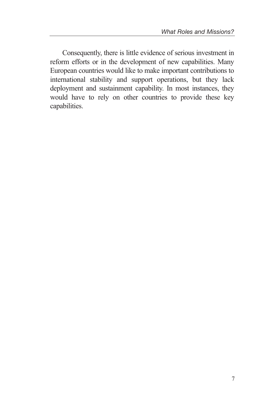Consequently, there is little evidence of serious investment in reform efforts or in the development of new capabilities. Many European countries would like to make important contributions to international stability and support operations, but they lack deployment and sustainment capability. In most instances, they would have to rely on other countries to provide these key capabilities.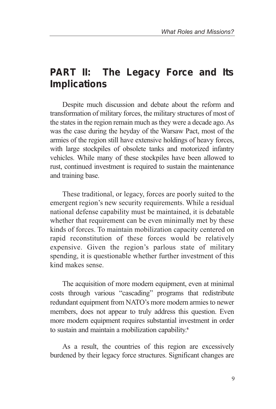## **PART II: The Legacy Force and Its Implications**

Despite much discussion and debate about the reform and transformation of military forces, the military structures of most of the states in the region remain much as they were a decade ago. As was the case during the heyday of the Warsaw Pact, most of the armies of the region still have extensive holdings of heavy forces, with large stockpiles of obsolete tanks and motorized infantry vehicles. While many of these stockpiles have been allowed to rust, continued investment is required to sustain the maintenance and training base.

These traditional, or legacy, forces are poorly suited to the emergent region's new security requirements. While a residual national defense capability must be maintained, it is debatable whether that requirement can be even minimally met by these kinds of forces. To maintain mobilization capacity centered on rapid reconstitution of these forces would be relatively expensive. Given the region's parlous state of military spending, it is questionable whether further investment of this kind makes sense.

The acquisition of more modern equipment, even at minimal costs through various "cascading" programs that redistribute redundant equipment from NATO's more modern armies to newer members, does not appear to truly address this question. Even more modern equipment requires substantial investment in order to sustain and maintain a mobilization capability.**<sup>6</sup>**

As a result, the countries of this region are excessively burdened by their legacy force structures. Significant changes are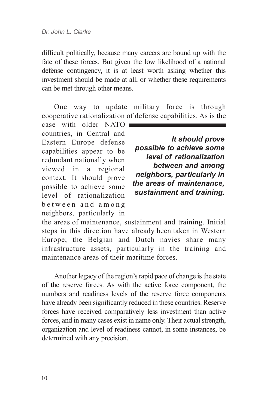difficult politically, because many careers are bound up with the fate of these forces. But given the low likelihood of a national defense contingency, it is at least worth asking whether this investment should be made at all, or whether these requirements can be met through other means.

One way to update military force is through cooperative rationalization of defense capabilities. As is the

case with older NATO countries, in Central and Eastern Europe defense capabilities appear to be redundant nationally when viewed in a regional context. It should prove possible to achieve some level of rationalization between and among neighbors, particularly in

*It should prove possible to achieve some level of rationalization between and among neighbors, particularly in the areas of maintenance, sustainment and training.*

the areas of maintenance, sustainment and training. Initial steps in this direction have already been taken in Western Europe; the Belgian and Dutch navies share many infrastructure assets, particularly in the training and maintenance areas of their maritime forces.

Another legacy of the region's rapid pace of change is the state of the reserve forces. As with the active force component, the numbers and readiness levels of the reserve force components have already been significantly reduced in these countries. Reserve forces have received comparatively less investment than active forces, and in many cases exist in name only. Their actual strength, organization and level of readiness cannot, in some instances, be determined with any precision.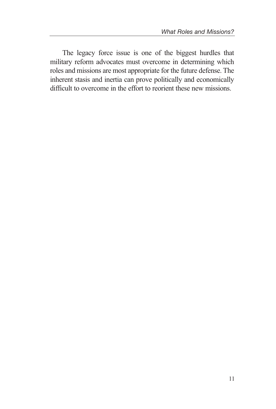The legacy force issue is one of the biggest hurdles that military reform advocates must overcome in determining which roles and missions are most appropriate for the future defense. The inherent stasis and inertia can prove politically and economically difficult to overcome in the effort to reorient these new missions.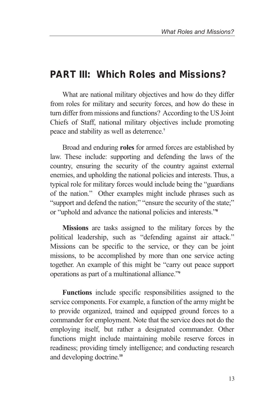### **PART III: Which Roles and Missions?**

What are national military objectives and how do they differ from roles for military and security forces, and how do these in turn differ from missions and functions? According to the US Joint Chiefs of Staff, national military objectives include promoting peace and stability as well as deterrence.**<sup>7</sup>**

Broad and enduring **roles** for armed forces are established by law. These include: supporting and defending the laws of the country, ensuring the security of the country against external enemies, and upholding the national policies and interests. Thus, a typical role for military forces would include being the "guardians of the nation." Other examples might include phrases such as "support and defend the nation;" "ensure the security of the state;" or "uphold and advance the national policies and interests."**<sup>8</sup>**

**Missions** are tasks assigned to the military forces by the political leadership, such as "defending against air attack." Missions can be specific to the service, or they can be joint missions, to be accomplished by more than one service acting together. An example of this might be "carry out peace support operations as part of a multinational alliance."**<sup>9</sup>**

**Functions** include specific responsibilities assigned to the service components. For example, a function of the army might be to provide organized, trained and equipped ground forces to a commander for employment. Note that the service does not do the employing itself, but rather a designated commander. Other functions might include maintaining mobile reserve forces in readiness; providing timely intelligence; and conducting research and developing doctrine.**<sup>10</sup>**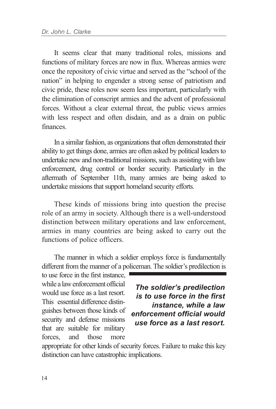It seems clear that many traditional roles, missions and functions of military forces are now in flux. Whereas armies were once the repository of civic virtue and served as the "school of the nation" in helping to engender a strong sense of patriotism and civic pride, these roles now seem less important, particularly with the elimination of conscript armies and the advent of professional forces. Without a clear external threat, the public views armies with less respect and often disdain, and as a drain on public finances.

In a similar fashion, as organizations that often demonstrated their ability to get things done, armies are often asked by political leaders to undertake new and non-traditional missions, such as assisting with law enforcement, drug control or border security. Particularly in the aftermath of September 11th, many armies are being asked to undertake missions that support homeland security efforts.

These kinds of missions bring into question the precise role of an army in society. Although there is a well-understood distinction between military operations and law enforcement, armies in many countries are being asked to carry out the functions of police officers.

The manner in which a soldier employs force is fundamentally different from the manner of a policeman. The soldier's predilection is

to use force in the first instance, while a law enforcement official would use force as a last resort. This essential difference distinguishes between those kinds of security and defense missions that are suitable for military forces, and those more

*The soldier's predilection is to use force in the first instance, while a law enforcement official would use force as a last resort.*

appropriate for other kinds of security forces. Failure to make this key distinction can have catastrophic implications.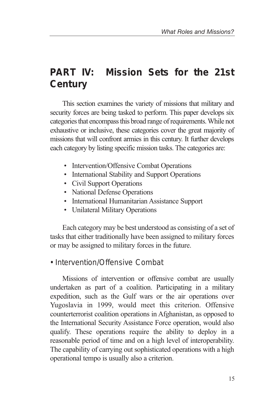## **PART IV: Mission Sets for the 21st Century**

This section examines the variety of missions that military and security forces are being tasked to perform. This paper develops six categories that encompass this broad range of requirements. While not exhaustive or inclusive, these categories cover the great majority of missions that will confront armies in this century. It further develops each category by listing specific mission tasks. The categories are:

- Intervention/Offensive Combat Operations
- International Stability and Support Operations
- Civil Support Operations
- National Defense Operations
- International Humanitarian Assistance Support
- Unilateral Military Operations

Each category may be best understood as consisting of a set of tasks that either traditionally have been assigned to military forces or may be assigned to military forces in the future.

### *• Intervention/Offensive Combat*

Missions of intervention or offensive combat are usually undertaken as part of a coalition. Participating in a military expedition, such as the Gulf wars or the air operations over Yugoslavia in 1999, would meet this criterion. Offensive counterterrorist coalition operations in Afghanistan, as opposed to the International Security Assistance Force operation, would also qualify. These operations require the ability to deploy in a reasonable period of time and on a high level of interoperability. The capability of carrying out sophisticated operations with a high operational tempo is usually also a criterion.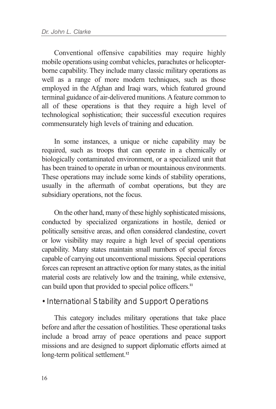Conventional offensive capabilities may require highly mobile operations using combat vehicles, parachutes or helicopterborne capability. They include many classic military operations as well as a range of more modern techniques, such as those employed in the Afghan and Iraqi wars, which featured ground terminal guidance of air-delivered munitions. A feature common to all of these operations is that they require a high level of technological sophistication; their successful execution requires commensurately high levels of training and education.

In some instances, a unique or niche capability may be required, such as troops that can operate in a chemically or biologically contaminated environment, or a specialized unit that has been trained to operate in urban or mountainous environments. These operations may include some kinds of stability operations, usually in the aftermath of combat operations, but they are subsidiary operations, not the focus.

On the other hand, many of these highly sophisticated missions, conducted by specialized organizations in hostile, denied or politically sensitive areas, and often considered clandestine, covert or low visibility may require a high level of special operations capability. Many states maintain small numbers of special forces capable of carrying out unconventional missions. Special operations forces can represent an attractive option for many states, as the initial material costs are relatively low and the training, while extensive, can build upon that provided to special police officers.**<sup>11</sup>**

#### *• International Stability and Support Operations*

This category includes military operations that take place before and after the cessation of hostilities. These operational tasks include a broad array of peace operations and peace support missions and are designed to support diplomatic efforts aimed at long-term political settlement.**<sup>12</sup>**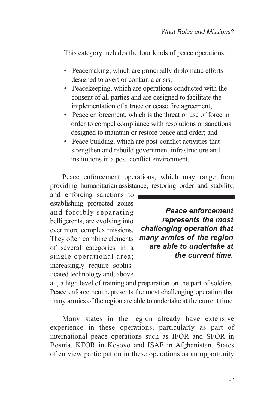This category includes the four kinds of peace operations:

- Peacemaking, which are principally diplomatic efforts designed to avert or contain a crisis;
- Peacekeeping, which are operations conducted with the consent of all parties and are designed to facilitate the implementation of a truce or cease fire agreement;
- Peace enforcement, which is the threat or use of force in order to compel compliance with resolutions or sanctions designed to maintain or restore peace and order; and
- Peace building, which are post-conflict activities that strengthen and rebuild government infrastructure and institutions in a post-conflict environment.

Peace enforcement operations, which may range from providing humanitarian assistance, restoring order and stability,

and enforcing sanctions to establishing protected zones and forcibly separating belligerents, are evolving into ever more complex missions. They often combine elements of several categories in a single operational area; increasingly require sophisticated technology and, above

*Peace enforcement represents the most challenging operation that many armies of the region are able to undertake at the current time.*

all, a high level of training and preparation on the part of soldiers. Peace enforcement represents the most challenging operation that many armies of the region are able to undertake at the current time.

Many states in the region already have extensive experience in these operations, particularly as part of international peace operations such as IFOR and SFOR in Bosnia, KFOR in Kosovo and ISAF in Afghanistan. States often view participation in these operations as an opportunity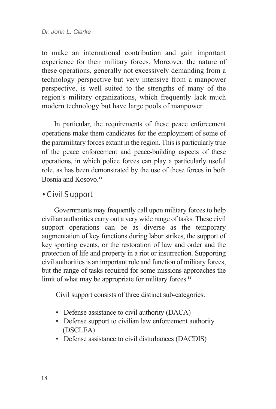to make an international contribution and gain important experience for their military forces. Moreover, the nature of these operations, generally not excessively demanding from a technology perspective but very intensive from a manpower perspective, is well suited to the strengths of many of the region's military organizations, which frequently lack much modern technology but have large pools of manpower.

In particular, the requirements of these peace enforcement operations make them candidates for the employment of some of the paramilitary forces extant in the region. This is particularly true of the peace enforcement and peace-building aspects of these operations, in which police forces can play a particularly useful role, as has been demonstrated by the use of these forces in both Bosnia and Kosovo.**<sup>13</sup>**

#### *• Civil Support*

Governments may frequently call upon military forces to help civilian authorities carry out a very wide range of tasks. These civil support operations can be as diverse as the temporary augmentation of key functions during labor strikes, the support of key sporting events, or the restoration of law and order and the protection of life and property in a riot or insurrection. Supporting civil authorities is an important role and function of military forces, but the range of tasks required for some missions approaches the limit of what may be appropriate for military forces.**<sup>14</sup>**

Civil support consists of three distinct sub-categories:

- Defense assistance to civil authority (DACA)
- Defense support to civilian law enforcement authority (DSCLEA)
- Defense assistance to civil disturbances (DACDIS)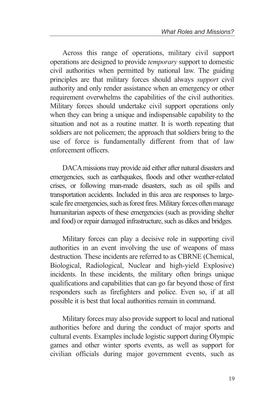Across this range of operations, military civil support operations are designed to provide *temporary* support to domestic civil authorities when permitted by national law. The guiding principles are that military forces should always *support* civil authority and only render assistance when an emergency or other requirement overwhelms the capabilities of the civil authorities. Military forces should undertake civil support operations only when they can bring a unique and indispensable capability to the situation and not as a routine matter. It is worth repeating that soldiers are not policemen; the approach that soldiers bring to the use of force is fundamentally different from that of law enforcement officers.

DACA missions may provide aid either after natural disasters and emergencies, such as earthquakes, floods and other weather-related crises, or following man-made disasters, such as oil spills and transportation accidents. Included in this area are responses to largescale fire emergencies, such as forest fires. Military forces often manage humanitarian aspects of these emergencies (such as providing shelter and food) or repair damaged infrastructure, such as dikes and bridges.

Military forces can play a decisive role in supporting civil authorities in an event involving the use of weapons of mass destruction. These incidents are referred to as CBRNE (Chemical, Biological, Radiological, Nuclear and high-yield Explosive) incidents. In these incidents, the military often brings unique qualifications and capabilities that can go far beyond those of first responders such as firefighters and police. Even so, if at all possible it is best that local authorities remain in command.

Military forces may also provide support to local and national authorities before and during the conduct of major sports and cultural events. Examples include logistic support during Olympic games and other winter sports events, as well as support for civilian officials during major government events, such as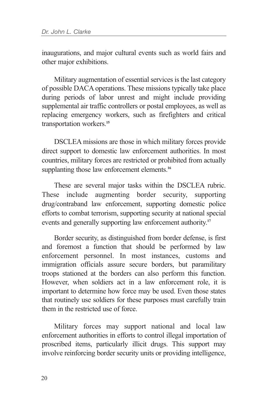inaugurations, and major cultural events such as world fairs and other major exhibitions.

Military augmentation of essential services is the last category of possible DACA operations. These missions typically take place during periods of labor unrest and might include providing supplemental air traffic controllers or postal employees, as well as replacing emergency workers, such as firefighters and critical transportation workers.**<sup>15</sup>**

DSCLEA missions are those in which military forces provide direct support to domestic law enforcement authorities. In most countries, military forces are restricted or prohibited from actually supplanting those law enforcement elements.<sup>16</sup>

These are several major tasks within the DSCLEA rubric. These include augmenting border security, supporting drug/contraband law enforcement, supporting domestic police efforts to combat terrorism, supporting security at national special events and generally supporting law enforcement authority.**<sup>17</sup>**

Border security, as distinguished from border defense, is first and foremost a function that should be performed by law enforcement personnel. In most instances, customs and immigration officials assure secure borders, but paramilitary troops stationed at the borders can also perform this function. However, when soldiers act in a law enforcement role, it is important to determine how force may be used. Even those states that routinely use soldiers for these purposes must carefully train them in the restricted use of force.

Military forces may support national and local law enforcement authorities in efforts to control illegal importation of proscribed items, particularly illicit drugs. This support may involve reinforcing border security units or providing intelligence,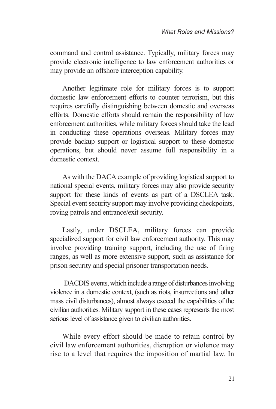command and control assistance. Typically, military forces may provide electronic intelligence to law enforcement authorities or may provide an offshore interception capability.

Another legitimate role for military forces is to support domestic law enforcement efforts to counter terrorism, but this requires carefully distinguishing between domestic and overseas efforts. Domestic efforts should remain the responsibility of law enforcement authorities, while military forces should take the lead in conducting these operations overseas. Military forces may provide backup support or logistical support to these domestic operations, but should never assume full responsibility in a domestic context.

As with the DACA example of providing logistical support to national special events, military forces may also provide security support for these kinds of events as part of a DSCLEA task. Special event security support may involve providing checkpoints, roving patrols and entrance/exit security.

Lastly, under DSCLEA, military forces can provide specialized support for civil law enforcement authority. This may involve providing training support, including the use of firing ranges, as well as more extensive support, such as assistance for prison security and special prisoner transportation needs.

DACDIS events, which include a range of disturbances involving violence in a domestic context, (such as riots, insurrections and other mass civil disturbances), almost always exceed the capabilities of the civilian authorities. Military support in these cases represents the most serious level of assistance given to civilian authorities.

While every effort should be made to retain control by civil law enforcement authorities, disruption or violence may rise to a level that requires the imposition of martial law. In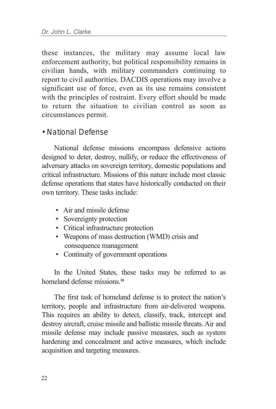these instances, the military may assume local law enforcement authority, but political responsibility remains in civilian hands, with military commanders continuing to report to civil authorities. DACDIS operations may involve a significant use of force, even as its use remains consistent with the principles of restraint. Every effort should be made to return the situation to civilian control as soon as circumstances permit.

#### *• National Defense*

National defense missions encompass defensive actions designed to deter, destroy, nullify, or reduce the effectiveness of adversary attacks on sovereign territory, domestic populations and critical infrastructure. Missions of this nature include most classic defense operations that states have historically conducted on their own territory. These tasks include:

- Air and missile defense
- Sovereignty protection
- Critical infrastructure protection
- Weapons of mass destruction (WMD) crisis and consequence management
- Continuity of government operations

In the United States, these tasks may be referred to as homeland defense missions.**<sup>18</sup>**

The first task of homeland defense is to protect the nation's territory, people and infrastructure from air-delivered weapons. This requires an ability to detect, classify, track, intercept and destroy aircraft, cruise missile and ballistic missile threats. Air and missile defense may include passive measures, such as system hardening and concealment and active measures, which include acquisition and targeting measures.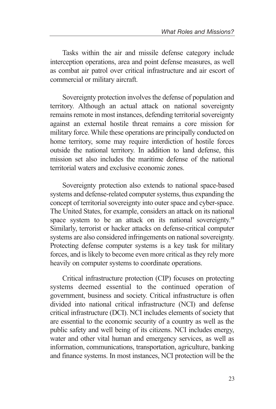Tasks within the air and missile defense category include interception operations, area and point defense measures, as well as combat air patrol over critical infrastructure and air escort of commercial or military aircraft.

Sovereignty protection involves the defense of population and territory. Although an actual attack on national sovereignty remains remote in most instances, defending territorial sovereignty against an external hostile threat remains a core mission for military force. While these operations are principally conducted on home territory, some may require interdiction of hostile forces outside the national territory. In addition to land defense, this mission set also includes the maritime defense of the national territorial waters and exclusive economic zones.

Sovereignty protection also extends to national space-based systems and defense-related computer systems, thus expanding the concept of territorial sovereignty into outer space and cyber-space. The United States, for example, considers an attack on its national space system to be an attack on its national sovereignty.**<sup>19</sup>** Similarly, terrorist or hacker attacks on defense-critical computer systems are also considered infringements on national sovereignty. Protecting defense computer systems is a key task for military forces, and is likely to become even more critical as they rely more heavily on computer systems to coordinate operations.

Critical infrastructure protection (CIP) focuses on protecting systems deemed essential to the continued operation of government, business and society. Critical infrastructure is often divided into national critical infrastructure (NCI) and defense critical infrastructure (DCI). NCI includes elements of society that are essential to the economic security of a country as well as the public safety and well being of its citizens. NCI includes energy, water and other vital human and emergency services, as well as information, communications, transportation, agriculture, banking and finance systems. In most instances, NCI protection will be the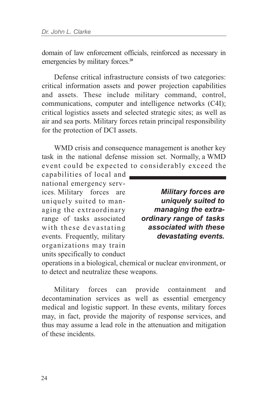domain of law enforcement officials, reinforced as necessary in emergencies by military forces.**<sup>20</sup>**

Defense critical infrastructure consists of two categories: critical information assets and power projection capabilities and assets. These include military command, control, communications, computer and intelligence networks (C4I); critical logistics assets and selected strategic sites; as well as air and sea ports. Military forces retain principal responsibility for the protection of DCI assets.

WMD crisis and consequence management is another key task in the national defense mission set. Normally, a WMD event could be expected to considerably exceed the

capabilities of local and national emergency services. Military forces are uniquely suited to managing the extraordinary range of tasks associated with these devastating events. Frequently, military organizations may train units specifically to conduct

*Military forces are uniquely suited to managing the extraordinary range of tasks associated with these devastating events.*

operations in a biological, chemical or nuclear environment, or to detect and neutralize these weapons.

Military forces can provide containment and decontamination services as well as essential emergency medical and logistic support. In these events, military forces may, in fact, provide the majority of response services, and thus may assume a lead role in the attenuation and mitigation of these incidents.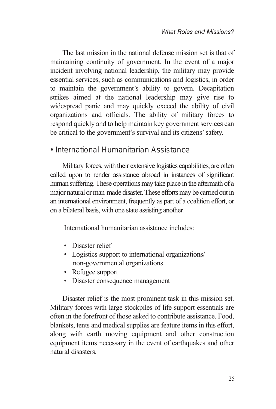The last mission in the national defense mission set is that of maintaining continuity of government. In the event of a major incident involving national leadership, the military may provide essential services, such as communications and logistics, in order to maintain the government's ability to govern. Decapitation strikes aimed at the national leadership may give rise to widespread panic and may quickly exceed the ability of civil organizations and officials. The ability of military forces to respond quickly and to help maintain key government services can be critical to the government's survival and its citizens' safety.

### *• International Humanitarian Assistance*

Military forces, with their extensive logistics capabilities, are often called upon to render assistance abroad in instances of significant human suffering. These operations may take place in the aftermath of a major natural or man-made disaster. These efforts may be carried out in an international environment, frequently as part of a coalition effort, or on a bilateral basis, with one state assisting another.

International humanitarian assistance includes:

- Disaster relief
- Logistics support to international organizations/ non-governmental organizations
- Refugee support
- Disaster consequence management

Disaster relief is the most prominent task in this mission set. Military forces with large stockpiles of life-support essentials are often in the forefront of those asked to contribute assistance. Food, blankets, tents and medical supplies are feature items in this effort, along with earth moving equipment and other construction equipment items necessary in the event of earthquakes and other natural disasters.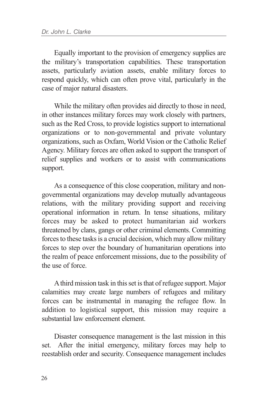Equally important to the provision of emergency supplies are the military's transportation capabilities. These transportation assets, particularly aviation assets, enable military forces to respond quickly, which can often prove vital, particularly in the case of major natural disasters.

While the military often provides aid directly to those in need, in other instances military forces may work closely with partners, such as the Red Cross, to provide logistics support to international organizations or to non-governmental and private voluntary organizations, such as Oxfam, World Vision or the Catholic Relief Agency. Military forces are often asked to support the transport of relief supplies and workers or to assist with communications support.

As a consequence of this close cooperation, military and nongovernmental organizations may develop mutually advantageous relations, with the military providing support and receiving operational information in return. In tense situations, military forces may be asked to protect humanitarian aid workers threatened by clans, gangs or other criminal elements. Committing forces to these tasks is a crucial decision, which may allow military forces to step over the boundary of humanitarian operations into the realm of peace enforcement missions, due to the possibility of the use of force.

Athird mission task in this set is that of refugee support. Major calamities may create large numbers of refugees and military forces can be instrumental in managing the refugee flow. In addition to logistical support, this mission may require a substantial law enforcement element.

Disaster consequence management is the last mission in this set. After the initial emergency, military forces may help to reestablish order and security. Consequence management includes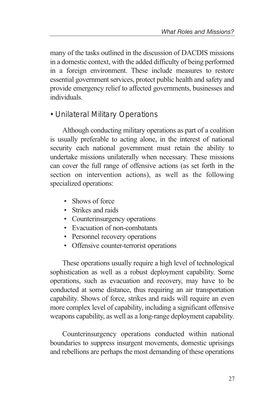many of the tasks outlined in the discussion of DACDIS missions in a domestic context, with the added difficulty of being performed in a foreign environment. These include measures to restore essential government services, protect public health and safety and provide emergency relief to affected governments, businesses and individuals.

### *• Unilateral Military Operations*

Although conducting military operations as part of a coalition is usually preferable to acting alone, in the interest of national security each national government must retain the ability to undertake missions unilaterally when necessary. These missions can cover the full range of offensive actions (as set forth in the section on intervention actions), as well as the following specialized operations:

- Shows of force
- Strikes and raids
- Counterinsurgency operations
- Evacuation of non-combatants
- Personnel recovery operations
- Offensive counter-terrorist operations

These operations usually require a high level of technological sophistication as well as a robust deployment capability. Some operations, such as evacuation and recovery, may have to be conducted at some distance, thus requiring an air transportation capability. Shows of force, strikes and raids will require an even more complex level of capability, including a significant offensive weapons capability, as well as a long-range deployment capability.

Counterinsurgency operations conducted within national boundaries to suppress insurgent movements, domestic uprisings and rebellions are perhaps the most demanding of these operations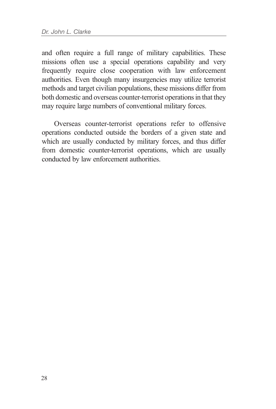and often require a full range of military capabilities. These missions often use a special operations capability and very frequently require close cooperation with law enforcement authorities. Even though many insurgencies may utilize terrorist methods and target civilian populations, these missions differ from both domestic and overseas counter-terrorist operations in that they may require large numbers of conventional military forces.

Overseas counter-terrorist operations refer to offensive operations conducted outside the borders of a given state and which are usually conducted by military forces, and thus differ from domestic counter-terrorist operations, which are usually conducted by law enforcement authorities.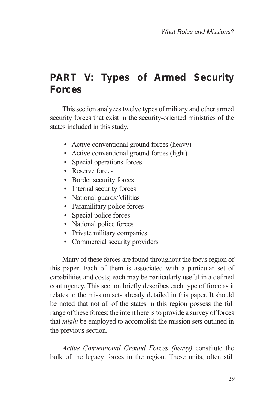## **PART V: Types of Armed Security Forces**

This section analyzes twelve types of military and other armed security forces that exist in the security-oriented ministries of the states included in this study.

- Active conventional ground forces (heavy)
- Active conventional ground forces (light)
- Special operations forces
- Reserve forces
- Border security forces
- Internal security forces
- National guards/Militias
- Paramilitary police forces
- Special police forces
- National police forces
- Private military companies
- Commercial security providers

Many of these forces are found throughout the focus region of this paper. Each of them is associated with a particular set of capabilities and costs; each may be particularly useful in a defined contingency. This section briefly describes each type of force as it relates to the mission sets already detailed in this paper. It should be noted that not all of the states in this region possess the full range of these forces; the intent here is to provide a survey of forces that *might* be employed to accomplish the mission sets outlined in the previous section.

*Active Conventional Ground Forces (heavy)* constitute the bulk of the legacy forces in the region. These units, often still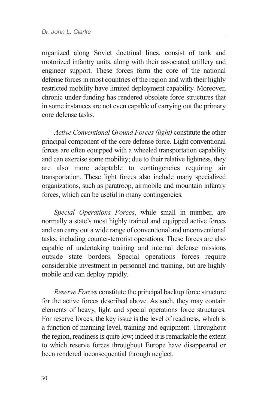organized along Soviet doctrinal lines, consist of tank and motorized infantry units, along with their associated artillery and engineer support. These forces form the core of the national defense forces in most countries of the region and with their highly restricted mobility have limited deployment capability. Moreover, chronic under-funding has rendered obsolete force structures that in some instances are not even capable of carrying out the primary core defense tasks.

*Active Conventional Ground Forces (light)* constitute the other principal component of the core defense force. Light conventional forces are often equipped with a wheeled transportation capability and can exercise some mobility; due to their relative lightness, they are also more adaptable to contingencies requiring air transportation. These light forces also include many specialized organizations, such as paratroop, airmobile and mountain infantry forces, which can be useful in many contingencies.

*Special Operations Forces*, while small in number, are normally a state's most highly trained and equipped active forces and can carry out a wide range of conventional and unconventional tasks, including counter-terrorist operations. These forces are also capable of undertaking training and internal defense missions outside state borders. Special operations forces require considerable investment in personnel and training, but are highly mobile and can deploy rapidly.

*Reserve Forces* constitute the principal backup force structure for the active forces described above. As such, they may contain elements of heavy, light and special operations force structures. For reserve forces, the key issue is the level of readiness, which is a function of manning level, training and equipment. Throughout the region, readiness is quite low; indeed it is remarkable the extent to which reserve forces throughout Europe have disappeared or been rendered inconsequential through neglect.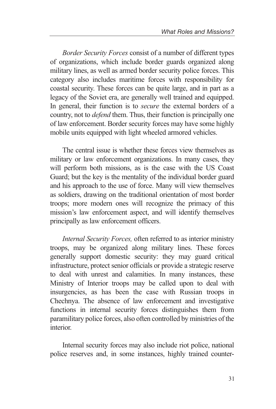*Border Security Forces* consist of a number of different types of organizations, which include border guards organized along military lines, as well as armed border security police forces. This category also includes maritime forces with responsibility for coastal security. These forces can be quite large, and in part as a legacy of the Soviet era, are generally well trained and equipped. In general, their function is to *secure* the external borders of a country, not to *defend* them. Thus, their function is principally one of law enforcement. Border security forces may have some highly mobile units equipped with light wheeled armored vehicles.

The central issue is whether these forces view themselves as military or law enforcement organizations. In many cases, they will perform both missions, as is the case with the US Coast Guard; but the key is the mentality of the individual border guard and his approach to the use of force. Many will view themselves as soldiers, drawing on the traditional orientation of most border troops; more modern ones will recognize the primacy of this mission's law enforcement aspect, and will identify themselves principally as law enforcement officers.

*Internal Security Forces,* often referred to as interior ministry troops, may be organized along military lines. These forces generally support domestic security: they may guard critical infrastructure, protect senior officials or provide a strategic reserve to deal with unrest and calamities. In many instances, these Ministry of Interior troops may be called upon to deal with insurgencies, as has been the case with Russian troops in Chechnya. The absence of law enforcement and investigative functions in internal security forces distinguishes them from paramilitary police forces, also often controlled by ministries of the interior.

Internal security forces may also include riot police, national police reserves and, in some instances, highly trained counter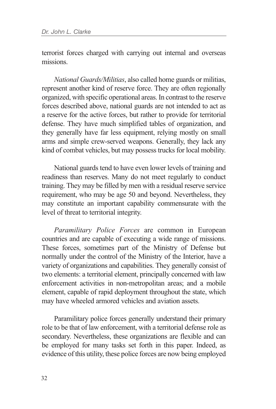terrorist forces charged with carrying out internal and overseas missions.

*National Guards/Militias*, also called home guards or militias, represent another kind of reserve force. They are often regionally organized, with specific operational areas. In contrast to the reserve forces described above, national guards are not intended to act as a reserve for the active forces, but rather to provide for territorial defense. They have much simplified tables of organization, and they generally have far less equipment, relying mostly on small arms and simple crew-served weapons. Generally, they lack any kind of combat vehicles, but may possess trucks for local mobility.

National guards tend to have even lower levels of training and readiness than reserves. Many do not meet regularly to conduct training. They may be filled by men with a residual reserve service requirement, who may be age 50 and beyond. Nevertheless, they may constitute an important capability commensurate with the level of threat to territorial integrity.

*Paramilitary Police Forces* are common in European countries and are capable of executing a wide range of missions. These forces, sometimes part of the Ministry of Defense but normally under the control of the Ministry of the Interior, have a variety of organizations and capabilities. They generally consist of two elements: a territorial element, principally concerned with law enforcement activities in non-metropolitan areas; and a mobile element, capable of rapid deployment throughout the state, which may have wheeled armored vehicles and aviation assets.

Paramilitary police forces generally understand their primary role to be that of law enforcement, with a territorial defense role as secondary. Nevertheless, these organizations are flexible and can be employed for many tasks set forth in this paper. Indeed, as evidence of this utility, these police forces are now being employed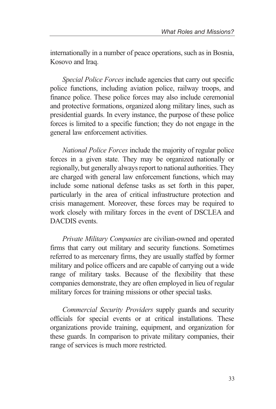internationally in a number of peace operations, such as in Bosnia, Kosovo and Iraq.

*Special Police Forces* include agencies that carry out specific police functions, including aviation police, railway troops, and finance police. These police forces may also include ceremonial and protective formations, organized along military lines, such as presidential guards. In every instance, the purpose of these police forces is limited to a specific function; they do not engage in the general law enforcement activities.

*National Police Forces* include the majority of regular police forces in a given state. They may be organized nationally or regionally, but generally always report to national authorities. They are charged with general law enforcement functions, which may include some national defense tasks as set forth in this paper, particularly in the area of critical infrastructure protection and crisis management. Moreover, these forces may be required to work closely with military forces in the event of DSCLEA and DACDIS events.

*Private Military Companies* are civilian-owned and operated firms that carry out military and security functions. Sometimes referred to as mercenary firms, they are usually staffed by former military and police officers and are capable of carrying out a wide range of military tasks. Because of the flexibility that these companies demonstrate, they are often employed in lieu of regular military forces for training missions or other special tasks.

*Commercial Security Providers* supply guards and security officials for special events or at critical installations. These organizations provide training, equipment, and organization for these guards. In comparison to private military companies, their range of services is much more restricted.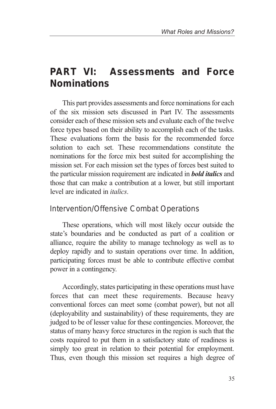## **PART VI: Assessments and Force Nominations**

This part provides assessments and force nominations for each of the six mission sets discussed in Part IV. The assessments consider each of these mission sets and evaluate each of the twelve force types based on their ability to accomplish each of the tasks. These evaluations form the basis for the recommended force solution to each set. These recommendations constitute the nominations for the force mix best suited for accomplishing the mission set. For each mission set the types of forces best suited to the particular mission requirement are indicated in *bold italics* and those that can make a contribution at a lower, but still important level are indicated in *italics*.

#### *Intervention/Offensive Combat Operations*

These operations, which will most likely occur outside the state's boundaries and be conducted as part of a coalition or alliance, require the ability to manage technology as well as to deploy rapidly and to sustain operations over time. In addition, participating forces must be able to contribute effective combat power in a contingency.

Accordingly, states participating in these operations must have forces that can meet these requirements. Because heavy conventional forces can meet some (combat power), but not all (deployability and sustainability) of these requirements, they are judged to be of lesser value for these contingencies. Moreover, the status of many heavy force structures in the region is such that the costs required to put them in a satisfactory state of readiness is simply too great in relation to their potential for employment. Thus, even though this mission set requires a high degree of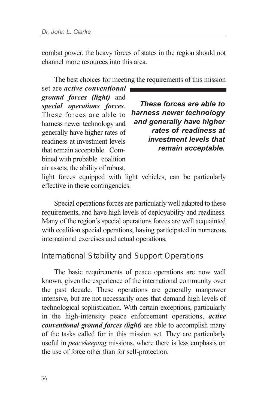combat power, the heavy forces of states in the region should not channel more resources into this area.

The best choices for meeting the requirements of this mission

set are *active conventional ground forces (light)* and *special operations forces*. These forces are able to harness newer technology and generally have higher rates of readiness at investment levels that remain acceptable. Combined with probable coalition air assets, the ability of robust,

*These forces are able to harness newer technology and generally have higher rates of readiness at investment levels that remain acceptable.*

light forces equipped with light vehicles, can be particularly effective in these contingencies.

Special operations forces are particularly well adapted to these requirements, and have high levels of deployability and readiness. Many of the region's special operations forces are well acquainted with coalition special operations, having participated in numerous international exercises and actual operations.

#### *International Stability and Support Operations*

The basic requirements of peace operations are now well known, given the experience of the international community over the past decade. These operations are generally manpower intensive, but are not necessarily ones that demand high levels of technological sophistication. With certain exceptions, particularly in the high-intensity peace enforcement operations, *active conventional ground forces (light)* are able to accomplish many of the tasks called for in this mission set. They are particularly useful in *peacekeeping* missions, where there is less emphasis on the use of force other than for self-protection.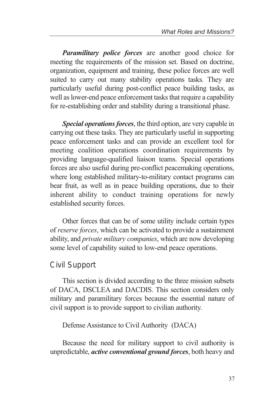*Paramilitary police forces* are another good choice for meeting the requirements of the mission set. Based on doctrine, organization, equipment and training, these police forces are well suited to carry out many stability operations tasks. They are particularly useful during post-conflict peace building tasks, as well as lower-end peace enforcement tasks that require a capability for re-establishing order and stability during a transitional phase.

*Special operations forces*, the third option, are very capable in carrying out these tasks. They are particularly useful in supporting peace enforcement tasks and can provide an excellent tool for meeting coalition operations coordination requirements by providing language-qualified liaison teams. Special operations forces are also useful during pre-conflict peacemaking operations, where long established military-to-military contact programs can bear fruit, as well as in peace building operations, due to their inherent ability to conduct training operations for newly established security forces.

Other forces that can be of some utility include certain types of *reserve forces*, which can be activated to provide a sustainment ability, and *private military companies*, which are now developing some level of capability suited to low-end peace operations.

#### *Civil Support*

This section is divided according to the three mission subsets of DACA, DSCLEA and DACDIS. This section considers only military and paramilitary forces because the essential nature of civil support is to provide support to civilian authority.

Defense Assistance to Civil Authority (DACA)

Because the need for military support to civil authority is unpredictable, *active conventional ground forces*, both heavy and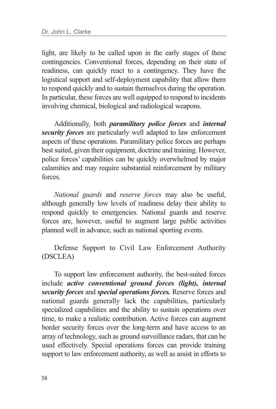light, are likely to be called upon in the early stages of these contingencies. Conventional forces, depending on their state of readiness, can quickly react to a contingency. They have the logistical support and self-deployment capability that allow them to respond quickly and to sustain themselves during the operation. In particular, these forces are well equipped to respond to incidents involving chemical, biological and radiological weapons.

Additionally, both *paramilitary police forces* and *internal security forces* are particularly well adapted to law enforcement aspects of these operations. Paramilitary police forces are perhaps best suited, given their equipment, doctrine and training. However, police forces' capabilities can be quickly overwhelmed by major calamities and may require substantial reinforcement by military forces.

*National guards* and *reserve forces* may also be useful, although generally low levels of readiness delay their ability to respond quickly to emergencies. National guards and reserve forces are, however, useful to augment large public activities planned well in advance, such as national sporting events.

Defense Support to Civil Law Enforcement Authority (DSCLEA)

To support law enforcement authority, the best-suited forces include *active conventional ground forces (light), internal security forces* and *special operations forces.* Reserve forces and national guards generally lack the capabilities, particularly specialized capabilities and the ability to sustain operations over time, to make a realistic contribution. Active forces can augment border security forces over the long-term and have access to an array of technology, such as ground surveillance radars, that can be used effectively. Special operations forces can provide training support to law enforcement authority, as well as assist in efforts to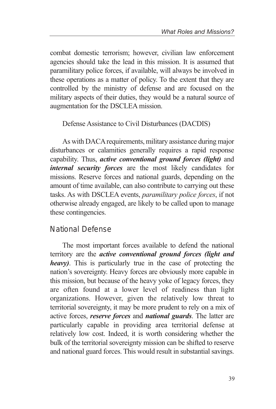combat domestic terrorism; however, civilian law enforcement agencies should take the lead in this mission. It is assumed that paramilitary police forces, if available, will always be involved in these operations as a matter of policy. To the extent that they are controlled by the ministry of defense and are focused on the military aspects of their duties, they would be a natural source of augmentation for the DSCLEA mission.

Defense Assistance to Civil Disturbances (DACDIS)

As with DACA requirements, military assistance during major disturbances or calamities generally requires a rapid response capability. Thus, *active conventional ground forces (light)* and *internal security forces* are the most likely candidates for missions. Reserve forces and national guards, depending on the amount of time available, can also contribute to carrying out these tasks. As with DSCLEA events, *paramilitary police forces*, if not otherwise already engaged, are likely to be called upon to manage these contingencies.

### *National Defense*

The most important forces available to defend the national territory are the *active conventional ground forces (light and heavy)*. This is particularly true in the case of protecting the nation's sovereignty. Heavy forces are obviously more capable in this mission, but because of the heavy yoke of legacy forces, they are often found at a lower level of readiness than light organizations. However, given the relatively low threat to territorial sovereignty, it may be more prudent to rely on a mix of active forces, *reserve forces* and *national guards*. The latter are particularly capable in providing area territorial defense at relatively low cost. Indeed, it is worth considering whether the bulk of the territorial sovereignty mission can be shifted to reserve and national guard forces. This would result in substantial savings.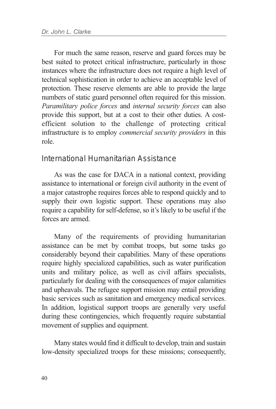For much the same reason, reserve and guard forces may be best suited to protect critical infrastructure, particularly in those instances where the infrastructure does not require a high level of technical sophistication in order to achieve an acceptable level of protection. These reserve elements are able to provide the large numbers of static guard personnel often required for this mission. *Paramilitary police forces* and *internal security forces* can also provide this support, but at a cost to their other duties. A costefficient solution to the challenge of protecting critical infrastructure is to employ *commercial security providers* in this role.

#### *International Humanitarian Assistance*

As was the case for DACA in a national context, providing assistance to international or foreign civil authority in the event of a major catastrophe requires forces able to respond quickly and to supply their own logistic support. These operations may also require a capability for self-defense, so it's likely to be useful if the forces are armed.

Many of the requirements of providing humanitarian assistance can be met by combat troops, but some tasks go considerably beyond their capabilities. Many of these operations require highly specialized capabilities, such as water purification units and military police, as well as civil affairs specialists, particularly for dealing with the consequences of major calamities and upheavals. The refugee support mission may entail providing basic services such as sanitation and emergency medical services. In addition, logistical support troops are generally very useful during these contingencies, which frequently require substantial movement of supplies and equipment.

Many states would find it difficult to develop, train and sustain low-density specialized troops for these missions; consequently,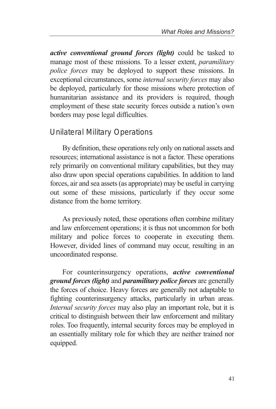*active conventional ground forces (light)* could be tasked to manage most of these missions. To a lesser extent, *paramilitary police forces* may be deployed to support these missions. In exceptional circumstances, some *internal security forces* may also be deployed, particularly for those missions where protection of humanitarian assistance and its providers is required, though employment of these state security forces outside a nation's own borders may pose legal difficulties.

### *Unilateral Military Operations*

By definition, these operations rely only on national assets and resources; international assistance is not a factor. These operations rely primarily on conventional military capabilities, but they may also draw upon special operations capabilities. In addition to land forces, air and sea assets (as appropriate) may be useful in carrying out some of these missions, particularly if they occur some distance from the home territory.

As previously noted, these operations often combine military and law enforcement operations; it is thus not uncommon for both military and police forces to cooperate in executing them. However, divided lines of command may occur, resulting in an uncoordinated response.

For counterinsurgency operations, *active conventional ground forces (light)* and *paramilitary police forces* are generally the forces of choice. Heavy forces are generally not adaptable to fighting counterinsurgency attacks, particularly in urban areas. *Internal security forces* may also play an important role, but it is critical to distinguish between their law enforcement and military roles. Too frequently, internal security forces may be employed in an essentially military role for which they are neither trained nor equipped.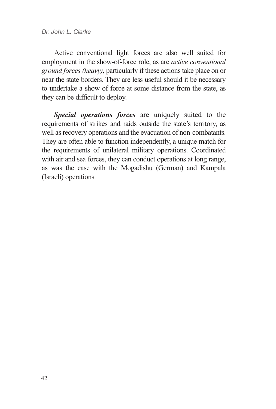Active conventional light forces are also well suited for employment in the show-of-force role, as are *active conventional ground forces (heavy)*, particularly if these actions take place on or near the state borders. They are less useful should it be necessary to undertake a show of force at some distance from the state, as they can be difficult to deploy.

*Special operations forces* are uniquely suited to the requirements of strikes and raids outside the state's territory, as well as recovery operations and the evacuation of non-combatants. They are often able to function independently, a unique match for the requirements of unilateral military operations. Coordinated with air and sea forces, they can conduct operations at long range, as was the case with the Mogadishu (German) and Kampala (Israeli) operations.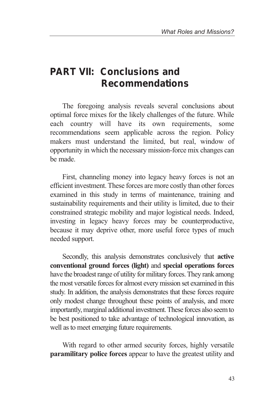## **PART VII: Conclusions and Recommendations**

The foregoing analysis reveals several conclusions about optimal force mixes for the likely challenges of the future. While each country will have its own requirements, some recommendations seem applicable across the region. Policy makers must understand the limited, but real, window of opportunity in which the necessary mission-force mix changes can be made.

First, channeling money into legacy heavy forces is not an efficient investment. These forces are more costly than other forces examined in this study in terms of maintenance, training and sustainability requirements and their utility is limited, due to their constrained strategic mobility and major logistical needs. Indeed, investing in legacy heavy forces may be counterproductive, because it may deprive other, more useful force types of much needed support.

Secondly, this analysis demonstrates conclusively that **active conventional ground forces (light)** and **special operations forces** have the broadest range of utility for military forces. They rank among the most versatile forces for almost every mission set examined in this study. In addition, the analysis demonstrates that these forces require only modest change throughout these points of analysis, and more importantly, marginal additional investment. These forces also seem to be best positioned to take advantage of technological innovation, as well as to meet emerging future requirements.

With regard to other armed security forces, highly versatile **paramilitary police forces** appear to have the greatest utility and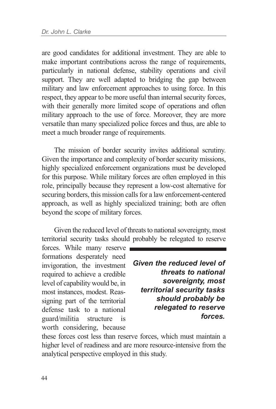are good candidates for additional investment. They are able to make important contributions across the range of requirements, particularly in national defense, stability operations and civil support. They are well adapted to bridging the gap between military and law enforcement approaches to using force. In this respect, they appear to be more useful than internal security forces, with their generally more limited scope of operations and often military approach to the use of force. Moreover, they are more versatile than many specialized police forces and thus, are able to meet a much broader range of requirements.

The mission of border security invites additional scrutiny. Given the importance and complexity of border security missions, highly specialized enforcement organizations must be developed for this purpose. While military forces are often employed in this role, principally because they represent a low-cost alternative for securing borders, this mission calls for a law enforcement-centered approach, as well as highly specialized training; both are often beyond the scope of military forces.

Given the reduced level of threats to national sovereignty, most territorial security tasks should probably be relegated to reserve

forces. While many reserve formations desperately need invigoration, the investment required to achieve a credible level of capability would be, in most instances, modest. Reassigning part of the territorial defense task to a national guard/militia structure is worth considering, because

*Given the reduced level of threats to national sovereignty, most territorial security tasks should probably be relegated to reserve forces.*

these forces cost less than reserve forces, which must maintain a higher level of readiness and are more resource-intensive from the analytical perspective employed in this study.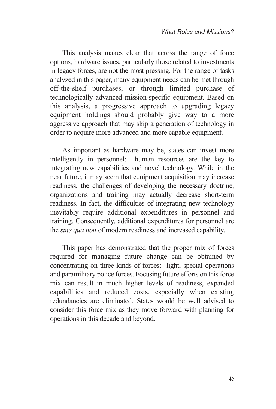This analysis makes clear that across the range of force options, hardware issues, particularly those related to investments in legacy forces, are not the most pressing. For the range of tasks analyzed in this paper, many equipment needs can be met through off-the-shelf purchases, or through limited purchase of technologically advanced mission-specific equipment. Based on this analysis, a progressive approach to upgrading legacy equipment holdings should probably give way to a more aggressive approach that may skip a generation of technology in order to acquire more advanced and more capable equipment.

As important as hardware may be, states can invest more intelligently in personnel: human resources are the key to integrating new capabilities and novel technology. While in the near future, it may seem that equipment acquisition may increase readiness, the challenges of developing the necessary doctrine, organizations and training may actually decrease short-term readiness. In fact, the difficulties of integrating new technology inevitably require additional expenditures in personnel and training. Consequently, additional expenditures for personnel are the *sine qua non* of modern readiness and increased capability.

This paper has demonstrated that the proper mix of forces required for managing future change can be obtained by concentrating on three kinds of forces: light, special operations and paramilitary police forces. Focusing future efforts on this force mix can result in much higher levels of readiness, expanded capabilities and reduced costs, especially when existing redundancies are eliminated. States would be well advised to consider this force mix as they move forward with planning for operations in this decade and beyond.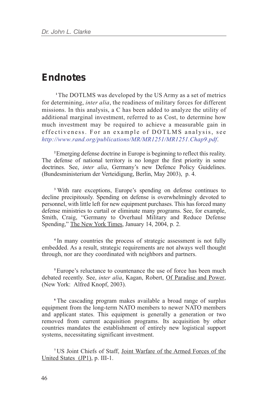### *Endnotes*

**<sup>1</sup>**The DOTLMS was developed by the US Army as a set of metrics for determining, *inter alia*, the readiness of military forces for different missions. In this analysis, a C has been added to analyze the utility of additional marginal investment, referred to as Cost, to determine how much investment may be required to achieve a measurable gain in effectiveness. For an example of DOTLMS analysis, see *http://www.rand.org/publications/MR/MR1251/MR1251.Chap9.pdf*.

**<sup>2</sup>**Emerging defense doctrine in Europe is beginning to reflect this reality. The defense of national territory is no longer the first priority in some doctrines. See, *inter alia*, Germany's new Defence Policy Guidelines. (Bundesministerium der Verteidigung, Berlin, May 2003), p. 4.

**<sup>3</sup>**With rare exceptions, Europe's spending on defense continues to decline precipitously. Spending on defense is overwhelmingly devoted to personnel, with little left for new equipment purchases. This has forced many defense ministries to curtail or eliminate many programs. See, for example, Smith, Craig, "Germany to Overhaul Military and Reduce Defense Spending," The New York Times, January 14, 2004, p. 2.

**<sup>4</sup>** In many countries the process of strategic assessment is not fully embedded. As a result, strategic requirements are not always well thought through, nor are they coordinated with neighbors and partners.

**<sup>5</sup>**Europe's reluctance to countenance the use of force has been much debated recently. See, *inter alia*, Kagan, Robert, Of Paradise and Power, (New York: Alfred Knopf, 2003).

**<sup>6</sup>**The cascading program makes available a broad range of surplus equipment from the long-term NATO members to newer NATO members and applicant states. This equipment is generally a generation or two removed from current acquisition programs. Its acquisition by other countries mandates the establishment of entirely new logistical support systems, necessitating significant investment.

**<sup>7</sup>**US Joint Chiefs of Staff, Joint Warfare of the Armed Forces of the United States (JP1), p. III-1.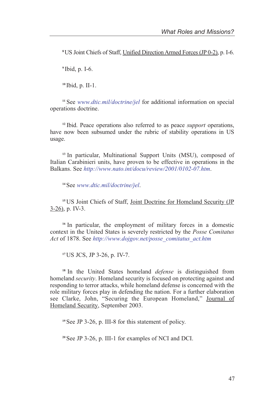**<sup>8</sup>**US Joint Chiefs of Staff, Unified Direction Armed Forces (JP 0-2), p. I-6.

**<sup>9</sup>**Ibid, p. I-6.

**<sup>10</sup>**Ibid, p. II-1.

**<sup>11</sup>**See *www.dtic.mil/doctrine/jel* for additional information on special operations doctrine.

**<sup>12</sup>**Ibid. Peace operations also referred to as peace *support* operations, have now been subsumed under the rubric of stability operations in US usage.

**<sup>13</sup>**In particular, Multinational Support Units (MSU), composed of Italian Carabinieri units, have proven to be effective in operations in the Balkans. See *http://www.nato.int/docu/review/2001/0102-07.htm*.

**<sup>14</sup>**See *www.dtic.mil/doctrine/jel*.

<sup>15</sup> US Joint Chiefs of Staff, Joint Doctrine for Homeland Security (JP  $3-26$ , p. IV-3.

<sup>16</sup> In particular, the employment of military forces in a domestic context in the United States is severely restricted by the *Posse Comitatus Act* of 1878. See *http://www.dojgov.net/posse\_comitatus\_act.htm*

**<sup>17</sup>**US JCS, JP 3-26, p. IV-7.

**<sup>18</sup>**In the United States homeland *defense* is distinguished from homeland *security*. Homeland security is focused on protecting against and responding to terror attacks, while homeland defense is concerned with the role military forces play in defending the nation. For a further elaboration see Clarke, John, "Securing the European Homeland," Journal of Homeland Security, September 2003.

**<sup>19</sup>**See JP 3-26, p. III-8 for this statement of policy.

**<sup>20</sup>**See JP 3-26, p. III-1 for examples of NCI and DCI.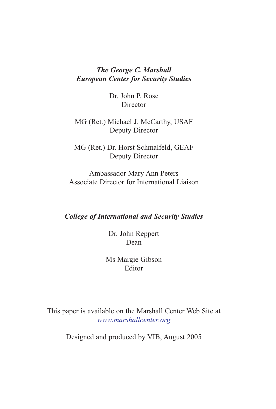#### *The George C. Marshall European Center for Security Studies*

Dr. John P. Rose **Director** 

MG (Ret.) Michael J. McCarthy, USAF Deputy Director

MG (Ret.) Dr. Horst Schmalfeld, GEAF Deputy Director

Ambassador Mary Ann Peters Associate Director for International Liaison

#### *College of International and Security Studies*

Dr. John Reppert Dean

Ms Margie Gibson Editor

This paper is available on the Marshall Center Web Site at *www.marshallcenter.org*

Designed and produced by VIB, August 2005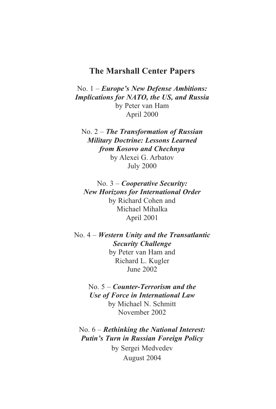#### **The Marshall Center Papers**

No. 1 – *Europe's New Defense Ambitions: Implications for NATO, the US, and Russia* by Peter van Ham April 2000

No. 2 – *The Transformation of Russian Military Doctrine: Lessons Learned from Kosovo and Chechnya* by Alexei G. Arbatov July 2000

No. 3 – *Cooperative Security: New Horizons for International Order* by Richard Cohen and Michael Mihalka April 2001

No. 4 – *Western Unity and the Transatlantic Security Challenge* by Peter van Ham and Richard L. Kugler June 2002

> No. 5 – *Counter-Terrorism and the Use of Force in International Law* by Michael N. Schmitt November 2002

No. 6 – *Rethinking the National Interest: Putin's Turn in Russian Foreign Policy* by Sergei Medvedev August 2004